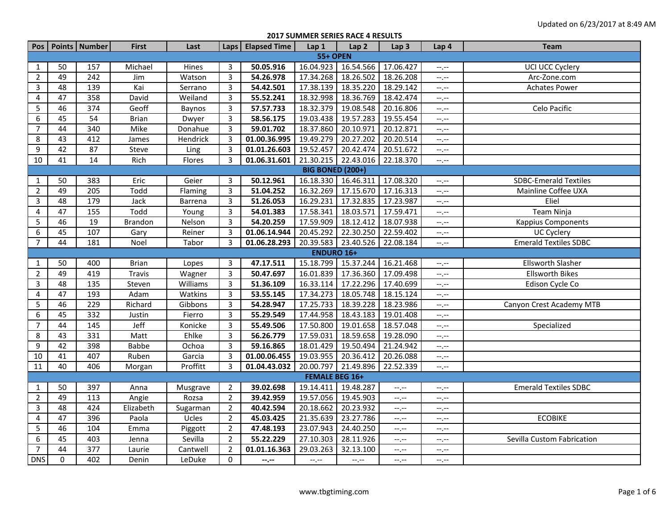**2017 SUMMER SERIES RACE 4 RESULTS**

|                         |                 | Pos   Points   Number | <b>First</b>   | Last     | Laps           | <b>Elapsed Time</b> | Lap 1                 | Lap <sub>2</sub> | Lap <sub>3</sub> | Lap 4            | <b>Team</b>                  |  |
|-------------------------|-----------------|-----------------------|----------------|----------|----------------|---------------------|-----------------------|------------------|------------------|------------------|------------------------------|--|
| <b>55+ OPEN</b>         |                 |                       |                |          |                |                     |                       |                  |                  |                  |                              |  |
| 1                       | 50              | 157                   | Michael        | Hines    | 3              | 50.05.916           | 16.04.923             | 16.54.566        | 17.06.427        | $-1$ . $-1$      | UCI UCC Cyclery              |  |
| $\overline{2}$          | 49              | 242                   | Jim            | Watson   | $\overline{3}$ | 54.26.978           | 17.34.268             | 18.26.502        | 18.26.208        | --,--            | Arc-Zone.com                 |  |
| $\overline{3}$          | 48              | 139                   | Kai            | Serrano  | 3              | 54.42.501           | 17.38.139             | 18.35.220        | 18.29.142        | $-1$             | <b>Achates Power</b>         |  |
| $\pmb{4}$               | 47              | 358                   | David          | Weiland  | $\overline{3}$ | 55.52.241           | 18.32.998             | 18.36.769        | 18.42.474        | --,--            |                              |  |
| 5                       | 46              | 374                   | Geoff          | Baynos   | $\overline{3}$ | 57.57.733           | 18.32.379             | 19.08.548        | 20.16.806        | --,--            | Celo Pacific                 |  |
| 6                       | 45              | $\overline{54}$       | <b>Brian</b>   | Dwyer    | 3              | 58.56.175           | 19.03.438             | 19.57.283        | 19.55.454        | $-1$ .           |                              |  |
| $\overline{7}$          | 44              | 340                   | Mike           | Donahue  | 3              | 59.01.702           | 18.37.860             | 20.10.971        | 20.12.871        | $-1$ . $-1$      |                              |  |
| 8                       | 43              | 412                   | James          | Hendrick | 3              | 01.00.36.995        | 19.49.279             | 20.27.202        | 20.20.514        | --.--            |                              |  |
| $\boldsymbol{9}$        | 42              | 87                    | Steve          | Ling     | $\overline{3}$ | 01.01.26.603        | 19.52.457             | 20.42.474        | 20.51.672        | $-1, -1$         |                              |  |
| 10                      | 41              | 14                    | Rich           | Flores   | 3              | 01.06.31.601        | 21.30.215             | 22.43.016        | 22.18.370        | $-1$ , $-1$      |                              |  |
| <b>BIG BONED (200+)</b> |                 |                       |                |          |                |                     |                       |                  |                  |                  |                              |  |
| $\mathbf{1}$            | 50              | 383                   | Eric           | Geier    | 3              | 50.12.961           | 16.18.330             | 16.46.311        | 17.08.320        | --.--            | <b>SDBC-Emerald Textiles</b> |  |
| $\overline{2}$          | 49              | 205                   | Todd           | Flaming  | $\overline{3}$ | 51.04.252           | 16.32.269             | 17.15.670        | 17.16.313        | $-1$             | Mainline Coffee UXA          |  |
| $\overline{3}$          | 48              | 179                   | Jack           | Barrena  | 3              | 51.26.053           | 16.29.231             | 17.32.835        | 17.23.987        | $-1$             | Eliel                        |  |
| 4                       | 47              | 155                   | Todd           | Young    | 3              | 54.01.383           | 17.58.341             | 18.03.571        | 17.59.471        | $-1$ , $-1$      | Team Ninja                   |  |
| 5                       | 46              | 19                    | <b>Brandon</b> | Nelson   | $\overline{3}$ | 54.20.259           | 17.59.909             | 18.12.412        | 18.07.938        | --,--            | <b>Kappius Components</b>    |  |
| 6                       | 45              | 107                   | Gary           | Reiner   | 3              | 01.06.14.944        | 20.45.292             | 22.30.250        | 22.59.402        | $-1 - 1 - 1 = 0$ | UC Cyclery                   |  |
| $\overline{7}$          | 44              | 181                   | Noel           | Tabor    | 3              | 01.06.28.293        | 20.39.583             | 23.40.526        | 22.08.184        | --,--            | <b>Emerald Textiles SDBC</b> |  |
|                         |                 |                       |                |          |                |                     | <b>ENDURO 16+</b>     |                  |                  |                  |                              |  |
| $\mathbf{1}$            | 50              | 400                   | <b>Brian</b>   | Lopes    | 3              | 47.17.511           | 15.18.799             | 15.37.244        | 16.21.468        | $-1$ . $-1$      | <b>Ellsworth Slasher</b>     |  |
| $\overline{2}$          | 49              | 419                   | <b>Travis</b>  | Wagner   | $\overline{3}$ | 50.47.697           | 16.01.839             | 17.36.360        | 17.09.498        | --,--            | <b>Ellsworth Bikes</b>       |  |
| $\overline{3}$          | 48              | 135                   | Steven         | Williams | $\overline{3}$ | 51.36.109           | 16.33.114             | 17.22.296        | 17.40.699        | --,--            | Edison Cycle Co              |  |
| 4                       | $\overline{47}$ | 193                   | Adam           | Watkins  | 3              | 53.55.145           | 17.34.273             | 18.05.748        | 18.15.124        | $-1$ , $-1$      |                              |  |
| 5                       | 46              | 229                   | Richard        | Gibbons  | $\overline{3}$ | 54.28.947           | 17.25.733             | 18.39.228        | 18.23.986        | $-$ , $-$        | Canyon Crest Academy MTB     |  |
| 6                       | 45              | 332                   | Justin         | Fierro   | $\overline{3}$ | 55.29.549           | 17.44.958             | 18.43.183        | 19.01.408        | $-$              |                              |  |
| $\overline{7}$          | 44              | 145                   | Jeff           | Konicke  | 3              | 55.49.506           | 17.50.800             | 19.01.658        | 18.57.048        | --,--            | Specialized                  |  |
| 8                       | 43              | 331                   | Matt           | Ehlke    | $\overline{3}$ | 56.26.779           | 17.59.031             | 18.59.658        | 19.28.090        | --,--            |                              |  |
| $\boldsymbol{9}$        | 42              | 398                   | <b>Babbe</b>   | Ochoa    | $\overline{3}$ | 59.16.865           | 18.01.429             | 19.50.494        | 21.24.942        | $-1$             |                              |  |
| 10                      | 41              | 407                   | Ruben          | Garcia   | $\overline{3}$ | 01.00.06.455        | 19.03.955             | 20.36.412        | 20.26.088        | $-1, -1$         |                              |  |
| 11                      | 40              | 406                   | Morgan         | Proffitt | $\overline{3}$ | 01.04.43.032        | 20.00.797             | 21.49.896        | 22.52.339        | --,--            |                              |  |
|                         |                 |                       |                |          |                |                     | <b>FEMALE BEG 16+</b> |                  |                  |                  |                              |  |
| 1                       | 50              | 397                   | Anna           | Musgrave | $\overline{2}$ | 39.02.698           | 19.14.411             | 19.48.287        | $-1, -1$         | $-1$ . $-1$      | <b>Emerald Textiles SDBC</b> |  |
| $\overline{2}$          | 49              | 113                   | Angie          | Rozsa    | $\overline{2}$ | 39.42.959           | 19.57.056             | 19.45.903        | $-1, -1$         | $-1$ . $-1$      |                              |  |
| $\overline{3}$          | 48              | 424                   | Elizabeth      | Sugarman | $\overline{2}$ | 40.42.594           | 20.18.662             | 20.23.932        | $-1, -1$         | $-1$ . $-1$      |                              |  |
| 4                       | 47              | 396                   | Paola          | Ucles    | $\overline{2}$ | 45.03.425           | 21.35.639             | 23.27.786        | $-1, -1$         | $-1$             | <b>ECOBIKE</b>               |  |
| 5                       | 46              | 104                   | Emma           | Piggott  | $\overline{2}$ | 47.48.193           | 23.07.943             | 24.40.250        | $-1, -1$         | $-1$ . $-1$      |                              |  |
| 6                       | 45              | 403                   | Jenna          | Sevilla  | $\overline{2}$ | 55.22.229           | 27.10.303             | 28.11.926        | $-1$             | --,--            | Sevilla Custom Fabrication   |  |
| $\overline{7}$          | 44              | 377                   | Laurie         | Cantwell | $\overline{2}$ | 01.01.16.363        | 29.03.263             | 32.13.100        | $-1, -1$         | $-1$ . $-1$      |                              |  |
| <b>DNS</b>              | $\Omega$        | 402                   | Denin          | LeDuke   | $\mathbf 0$    | --.--               | $-1, -1$              | $-1, -1$         | $-1, -1$         | $-1$             |                              |  |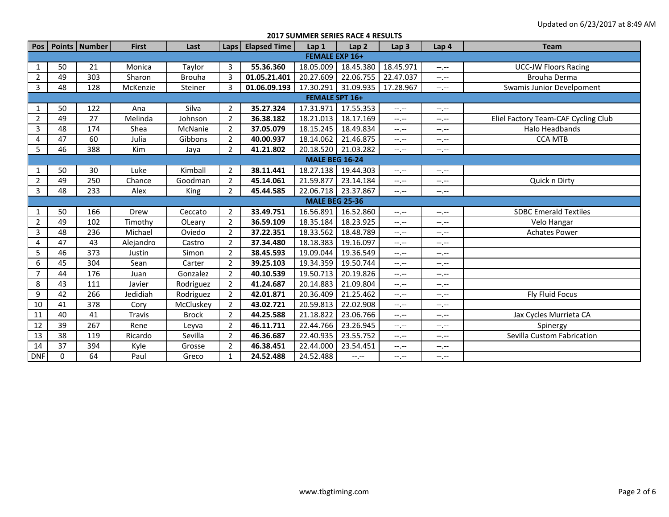## **2017 SUMMER SERIES RACE 4 RESULTS**

|                |                       | Pos   Points   Number | <b>First</b> | Last          | Laps           | <b>Elapsed Time</b> | Lap 1                 | Lap <sub>2</sub>    | Lap <sub>3</sub> | Lap 4                                     | <b>Team</b>                         |  |  |  |
|----------------|-----------------------|-----------------------|--------------|---------------|----------------|---------------------|-----------------------|---------------------|------------------|-------------------------------------------|-------------------------------------|--|--|--|
|                | <b>FEMALE EXP 16+</b> |                       |              |               |                |                     |                       |                     |                  |                                           |                                     |  |  |  |
| 1              | 50                    | 21                    | Monica       | Taylor        | 3              | 55.36.360           | 18.05.009             | 18.45.380           | 18.45.971        | $--, --$                                  | <b>UCC-JW Floors Racing</b>         |  |  |  |
| $\overline{2}$ | 49                    | 303                   | Sharon       | <b>Brouha</b> | 3              | 01.05.21.401        | 20.27.609             | 22.06.755           | 22.47.037        | $-1$ , $-1$                               | <b>Brouha Derma</b>                 |  |  |  |
| 3              | 48                    | 128                   | McKenzie     | Steiner       | 3              | 01.06.09.193        | 17.30.291             | 31.09.935           | 17.28.967        | $-1, -1$                                  | Swamis Junior Develpoment           |  |  |  |
|                | <b>FEMALE SPT 16+</b> |                       |              |               |                |                     |                       |                     |                  |                                           |                                     |  |  |  |
| 1              | 50                    | 122                   | Ana          | Silva         | $\overline{2}$ | 35.27.324           | 17.31.971             | 17.55.353           | $-1, -1$         | $-1, -1$                                  |                                     |  |  |  |
| $\overline{2}$ | 49                    | 27                    | Melinda      | Johnson       | $\overline{2}$ | 36.38.182           | 18.21.013             | 18.17.169           | $-1 - 1 - 1 = 0$ | $-1$ , $-1$                               | Eliel Factory Team-CAF Cycling Club |  |  |  |
| 3              | 48                    | 174                   | Shea         | McNanie       | $\overline{2}$ | 37.05.079           | 18.15.245             | 18.49.834           | $-1, -1$         | $-1, -1$                                  | Halo Headbands                      |  |  |  |
| 4              | 47                    | 60                    | Julia        | Gibbons       | $\overline{2}$ | 40.00.937           | 18.14.062             | 21.46.875           | $-1, -1$         | $-1, -1$                                  | <b>CCA MTB</b>                      |  |  |  |
| 5              | 46                    | 388                   | Kim          | Jaya          | $\overline{2}$ | 41.21.802           | 20.18.520             | 21.03.282           | $-1 - 1 - 1 = 0$ | $-1$ , $-1$                               |                                     |  |  |  |
|                | <b>MALE BEG 16-24</b> |                       |              |               |                |                     |                       |                     |                  |                                           |                                     |  |  |  |
| 1              | 50                    | 30                    | Luke         | Kimball       | $\overline{2}$ | 38.11.441           | 18.27.138             | 19.44.303           | $-1$ , $-1$      | $-1$ , $-1$                               |                                     |  |  |  |
| $\overline{2}$ | 49                    | 250                   | Chance       | Goodman       | $\overline{2}$ | 45.14.061           | 21.59.877             | 23.14.184           | $-1 - 1 - 1 = 0$ | $-1$ , $-1$                               | Quick n Dirty                       |  |  |  |
| 3              | 48                    | 233                   | Alex         | King          | $\overline{2}$ | 45.44.585           |                       | 22.06.718 23.37.867 | $-1, -1$         | $-1. -1$                                  |                                     |  |  |  |
|                |                       |                       |              |               |                |                     | <b>MALE BEG 25-36</b> |                     |                  |                                           |                                     |  |  |  |
| 1              | 50                    | 166                   | Drew         | Ceccato       | $\overline{2}$ | 33.49.751           | 16.56.891             | 16.52.860           | $-1, -1$         | $-1 - 1 - 1 = 0$                          | <b>SDBC Emerald Textiles</b>        |  |  |  |
| $\overline{2}$ | 49                    | 102                   | Timothy      | OLeary        | $\overline{2}$ | 36.59.109           | 18.35.184             | 18.23.925           | $-1 - 1 - 1 = 0$ | $-1, -1$                                  | Velo Hangar                         |  |  |  |
| 3              | 48                    | 236                   | Michael      | Oviedo        | $\overline{2}$ | 37.22.351           | 18.33.562             | 18.48.789           | $-1$ , $-1$      | $-1$ , $-1$                               | <b>Achates Power</b>                |  |  |  |
| 4              | 47                    | 43                    | Alejandro    | Castro        | $\overline{2}$ | 37.34.480           | 18.18.383             | 19.16.097           | $-1, -1$         | $-1, -1$                                  |                                     |  |  |  |
| 5              | 46                    | 373                   | Justin       | Simon         | $\overline{2}$ | 38.45.593           | 19.09.044             | 19.36.549           | $-1, -1$         | $-1, -1$                                  |                                     |  |  |  |
| 6              | 45                    | 304                   | Sean         | Carter        | $\overline{2}$ | 39.25.103           | 19.34.359             | 19.50.744           | $-1$ .           | $-1 - 1 - 1 = 0$                          |                                     |  |  |  |
| 7              | 44                    | 176                   | Juan         | Gonzalez      | $\overline{2}$ | 40.10.539           | 19.50.713             | 20.19.826           | $-1 - 1 - 1 = 0$ | $\left\langle \cdots,\cdots\right\rangle$ |                                     |  |  |  |
| 8              | 43                    | 111                   | Javier       | Rodriguez     | $\overline{2}$ | 41.24.687           | 20.14.883             | 21.09.804           | $-1, -1$         | $-1, -1$                                  |                                     |  |  |  |
| 9              | 42                    | 266                   | Jedidiah     | Rodriguez     | $\overline{2}$ | 42.01.871           | 20.36.409             | 21.25.462           | $-1, -1$         | $-1, -1$                                  | Fly Fluid Focus                     |  |  |  |
| 10             | 41                    | 378                   | Cory         | McCluskey     | $\overline{2}$ | 43.02.721           | 20.59.813             | 22.02.908           | --.--            | --.--                                     |                                     |  |  |  |
| 11             | 40                    | 41                    | Travis       | <b>Brock</b>  | $\overline{2}$ | 44.25.588           | 21.18.822             | 23.06.766           | --.--            | --.--                                     | Jax Cycles Murrieta CA              |  |  |  |
| 12             | 39                    | 267                   | Rene         | Leyva         | $\overline{2}$ | 46.11.711           | 22.44.766             | 23.26.945           | $-1 - 1 - 1 = 0$ | $-1, -1$                                  | Spinergy                            |  |  |  |
| 13             | 38                    | 119                   | Ricardo      | Sevilla       | $\overline{2}$ | 46.36.687           | 22.40.935             | 23.55.752           | $-1 - 1 - 1 = 0$ | $-1$ , $-1$                               | Sevilla Custom Fabrication          |  |  |  |
| 14             | 37                    | 394                   | Kyle         | Grosse        | $\overline{2}$ | 46.38.451           | 22.44.000             | 23.54.451           | $-1, -1$         | $-1, -1$                                  |                                     |  |  |  |
| <b>DNF</b>     | $\Omega$              | 64                    | Paul         | Greco         | $\mathbf{1}$   | 24.52.488           | 24.52.488             | $-1, -1$            | $-1, -1$         | $-1, -1$                                  |                                     |  |  |  |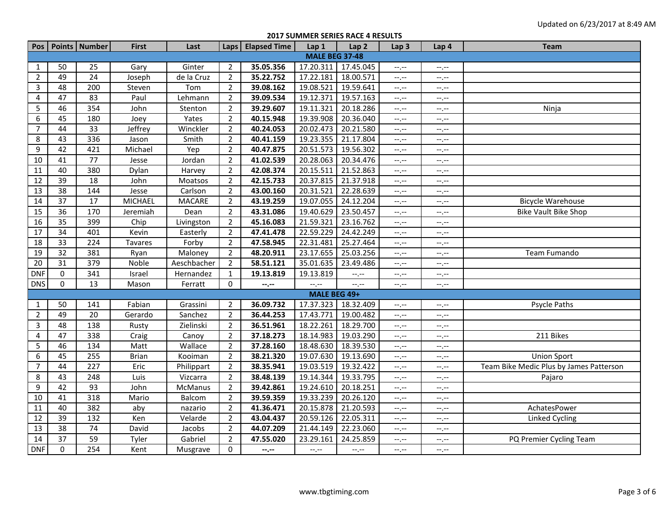**2017 SUMMER SERIES RACE 4 RESULTS**

|                |                       | Pos   Points   Number | <b>First</b>   | Last          |                | Laps   Elapsed Time | Lap 1        | Lap 2     | Lap <sub>3</sub>            | Lap 4                       | <b>Team</b>                             |  |  |
|----------------|-----------------------|-----------------------|----------------|---------------|----------------|---------------------|--------------|-----------|-----------------------------|-----------------------------|-----------------------------------------|--|--|
|                | <b>MALE BEG 37-48</b> |                       |                |               |                |                     |              |           |                             |                             |                                         |  |  |
| 1              | 50                    | 25                    | Gary           | Ginter        | $\overline{2}$ | 35.05.356           | 17.20.311    | 17.45.045 | $-1$                        | --,--                       |                                         |  |  |
| $\overline{2}$ | 49                    | 24                    | Joseph         | de la Cruz    | $\overline{2}$ | 35.22.752           | 17.22.181    | 18.00.571 | $-1, -1$                    | --,--                       |                                         |  |  |
| 3              | 48                    | 200                   | Steven         | Tom           | $\overline{2}$ | 39.08.162           | 19.08.521    | 19.59.641 | $-1, -1$                    | $-1$ . $-1$                 |                                         |  |  |
| 4              | 47                    | 83                    | Paul           | Lehmann       | $\overline{2}$ | 39.09.534           | 19.12.371    | 19.57.163 | $-1$                        | --,--                       |                                         |  |  |
| 5              | 46                    | 354                   | John           | Stenton       | $\overline{2}$ | 39.29.607           | 19.11.321    | 20.18.286 | $-1$ . $-1$                 | $-1$                        | Ninja                                   |  |  |
| 6              | 45                    | 180                   | Joey           | Yates         | $\overline{2}$ | 40.15.948           | 19.39.908    | 20.36.040 | $-1, -1$                    | $-1$ , $-1$                 |                                         |  |  |
| $\overline{7}$ | 44                    | 33                    | Jeffrey        | Winckler      | $\overline{2}$ | 40.24.053           | 20.02.473    | 20.21.580 | $\leftarrow$ , $\leftarrow$ | --,--                       |                                         |  |  |
| 8              | 43                    | 336                   | Jason          | Smith         | $\overline{2}$ | 40.41.159           | 19.23.355    | 21.17.804 | $-1, -1$                    | --,--                       |                                         |  |  |
| 9              | 42                    | 421                   | Michael        | Yep           | $\overline{2}$ | 40.47.875           | 20.51.573    | 19.56.302 | $-1$                        | $-1$ , $-1$                 |                                         |  |  |
| 10             | 41                    | $\overline{77}$       | Jesse          | Jordan        | $\overline{2}$ | 41.02.539           | 20.28.063    | 20.34.476 | $-1, -1$                    | $-1$ . $-1$                 |                                         |  |  |
| 11             | 40                    | 380                   | Dylan          | Harvey        | $\overline{2}$ | 42.08.374           | 20.15.511    | 21.52.863 | $-1$                        | --,--                       |                                         |  |  |
| 12             | $\overline{39}$       | 18                    | John           | Moatsos       | $\overline{2}$ | 42.15.733           | 20.37.815    | 21.37.918 | $-1, -1$                    | --,--                       |                                         |  |  |
| 13             | $\overline{38}$       | 144                   | Jesse          | Carlson       | $\overline{2}$ | 43.00.160           | 20.31.521    | 22.28.639 | $-1, -1$                    | $-1$ , $-1$                 |                                         |  |  |
| 14             | 37                    | 17                    | <b>MICHAEL</b> | <b>MACARE</b> | $\overline{2}$ | 43.19.259           | 19.07.055    | 24.12.204 | $\leftarrow$ , $\leftarrow$ | --,--                       | <b>Bicycle Warehouse</b>                |  |  |
| 15             | $\overline{36}$       | 170                   | Jeremiah       | Dean          | $\overline{2}$ | 43.31.086           | 19.40.629    | 23.50.457 | $-1$                        | --.--                       | <b>Bike Vault Bike Shop</b>             |  |  |
| 16             | $\overline{35}$       | 399                   | Chip           | Livingston    | $\overline{2}$ | 45.16.083           | 21.59.321    | 23.16.762 | $-1, -1$                    | --,--                       |                                         |  |  |
| 17             | 34                    | 401                   | Kevin          | Easterly      | $\overline{2}$ | 47.41.478           | 22.59.229    | 24.42.249 | $-1, -1$                    | $-1$ . $-1$                 |                                         |  |  |
| 18             | $\overline{33}$       | $\overline{224}$      | <b>Tavares</b> | Forby         | $\overline{2}$ | 47.58.945           | 22.31.481    | 25.27.464 | $-1, -1$                    | --,--                       |                                         |  |  |
| 19             | 32                    | 381                   | Ryan           | Maloney       | $\overline{2}$ | 48.20.911           | 23.17.655    | 25.03.256 | $-1, -1$                    | $-1$                        | Team Fumando                            |  |  |
| 20             | 31                    | 379                   | Noble          | Aeschbacher   | $\overline{2}$ | 58.51.121           | 35.01.635    | 23.49.486 | $-1, -1$                    | $-1$ . $-1$                 |                                         |  |  |
| <b>DNF</b>     | $\mathbf 0$           | 341                   | Israel         | Hernandez     | $\mathbf{1}$   | 19.13.819           | 19.13.819    | --,--     | $\leftarrow$ , $\leftarrow$ | $-1$ , $-1$                 |                                         |  |  |
| <b>DNS</b>     | 0                     | 13                    | Mason          | Ferratt       | $\pmb{0}$      | $- - - - -$         | $-$ , $-$    | --.--     | $-1 - 1 - 1 = 0$            | $-1$ . $-1$                 |                                         |  |  |
|                |                       |                       |                |               |                |                     | MALE BEG 49+ |           |                             |                             |                                         |  |  |
| $\mathbf{1}$   | 50                    | 141                   | Fabian         | Grassini      | 2              | 36.09.732           | 17.37.323    | 18.32.409 | --.--                       | --.--                       | <b>Psycle Paths</b>                     |  |  |
| $\overline{2}$ | 49                    | 20                    | Gerardo        | Sanchez       | $\overline{2}$ | 36.44.253           | 17.43.771    | 19.00.482 | $-1$                        | $-1$ . $-1$                 |                                         |  |  |
| 3              | 48                    | 138                   | Rusty          | Zielinski     | $\overline{2}$ | 36.51.961           | 18.22.261    | 18.29.700 | $-1$                        | --,--                       |                                         |  |  |
| 4              | 47                    | 338                   | Craig          | Canoy         | $\overline{2}$ | 37.18.273           | 18.14.983    | 19.03.290 | $-1$                        | $-1$ . $-1$                 | 211 Bikes                               |  |  |
| 5              | 46                    | 134                   | Matt           | Wallace       | $\overline{2}$ | 37.28.160           | 18.48.630    | 18.39.530 | $\leftarrow$ , $\leftarrow$ | --,--                       |                                         |  |  |
| 6              | 45                    | 255                   | <b>Brian</b>   | Kooiman       | $\overline{2}$ | 38.21.320           | 19.07.630    | 19.13.690 | $-1$ . $-1$                 | --.--                       | <b>Union Sport</b>                      |  |  |
| $\overline{7}$ | 44                    | 227                   | Eric           | Philippart    | $\overline{2}$ | 38.35.941           | 19.03.519    | 19.32.422 | $-1, -1$                    | $-1$ . $-1$                 | Team Bike Medic Plus by James Patterson |  |  |
| 8              | 43                    | 248                   | Luis           | Vizcarra      | $\overline{2}$ | 38.48.139           | 19.14.344    | 19.33.795 | $-1$                        | --,--                       | Pajaro                                  |  |  |
| 9              | 42                    | 93                    | John           | McManus       | $\overline{2}$ | 39.42.861           | 19.24.610    | 20.18.251 | $-1$ .                      | $\leftarrow$ , $\leftarrow$ |                                         |  |  |
| 10             | 41                    | 318                   | Mario          | Balcom        | $\overline{2}$ | 39.59.359           | 19.33.239    | 20.26.120 | $-1, -1$                    | --,--                       |                                         |  |  |
| 11             | 40                    | 382                   | aby            | nazario       | $\overline{2}$ | 41.36.471           | 20.15.878    | 21.20.593 | $-1$                        | --,--                       | AchatesPower                            |  |  |
| 12             | 39                    | 132                   | Ken            | Velarde       | $\overline{2}$ | 43.04.437           | 20.59.126    | 22.05.311 | $\leftarrow$ , $\leftarrow$ | --,--                       | Linked Cycling                          |  |  |
| 13             | 38                    | 74                    | David          | Jacobs        | $\overline{2}$ | 44.07.209           | 21.44.149    | 22.23.060 | $-1$                        | --,--                       |                                         |  |  |
| 14             | 37                    | 59                    | Tyler          | Gabriel       | $\overline{2}$ | 47.55.020           | 23.29.161    | 24.25.859 | $-1, -1$                    | $-1$ . $-1$                 | PQ Premier Cycling Team                 |  |  |
| <b>DNF</b>     | $\mathbf{0}$          | 254                   | Kent           | Musgrave      | 0              | --.--               | $-1, -1$     | --,--     | $-1$                        | --,--                       |                                         |  |  |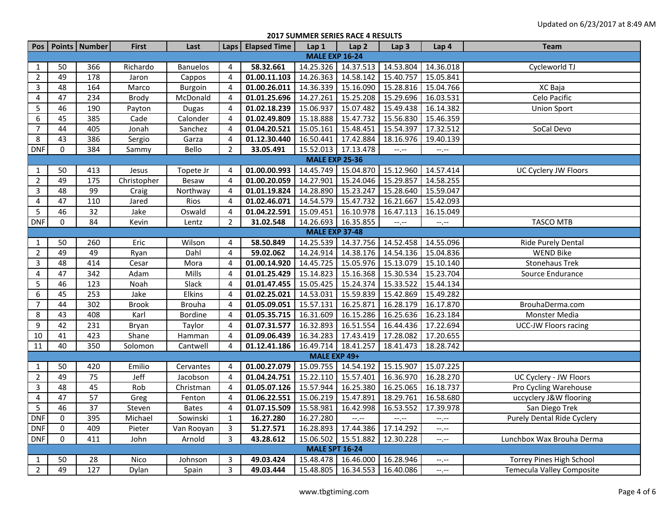**2017 SUMMER SERIES RACE 4 RESULTS**

|                       |                       | Pos   Points   Number | First        | Last            |                | Laps   Elapsed Time | Lap 1                 | Lap <sub>2</sub>                  | Lap <sub>3</sub> | Lap 4       | <b>Team</b>                       |  |
|-----------------------|-----------------------|-----------------------|--------------|-----------------|----------------|---------------------|-----------------------|-----------------------------------|------------------|-------------|-----------------------------------|--|
| <b>MALE EXP 16-24</b> |                       |                       |              |                 |                |                     |                       |                                   |                  |             |                                   |  |
| $\mathbf{1}$          | 50                    | 366                   | Richardo     | <b>Banuelos</b> | 4              | 58.32.661           | 14.25.326             | 14.37.513 14.53.804               |                  | 14.36.018   | Cycleworld TJ                     |  |
| $\overline{2}$        | 49                    | 178                   | Jaron        | Cappos          | $\overline{4}$ | 01.00.11.103        | 14.26.363             | 14.58.142                         | 15.40.757        | 15.05.841   |                                   |  |
| 3                     | 48                    | 164                   | Marco        | Burgoin         | $\overline{4}$ | 01.00.26.011        | 14.36.339             | 15.16.090                         | 15.28.816        | 15.04.766   | XC Baja                           |  |
| $\overline{4}$        | 47                    | 234                   | Brody        | McDonald        | 4              | 01.01.25.696        | 14.27.261             | 15.25.208                         | 15.29.696        | 16.03.531   | Celo Pacific                      |  |
| 5                     | 46                    | 190                   | Payton       | <b>Dugas</b>    | $\overline{4}$ | 01.02.18.239        | 15.06.937             | 15.07.482                         | 15.49.438        | 16.14.382   | <b>Union Sport</b>                |  |
| 6                     | 45                    | 385                   | Cade         | Calonder        | 4              | 01.02.49.809        | 15.18.888             | 15.47.732                         | 15.56.830        | 15.46.359   |                                   |  |
| $\overline{7}$        | 44                    | 405                   | Jonah        | Sanchez         | 4              | 01.04.20.521        | 15.05.161             | 15.48.451                         | 15.54.397        | 17.32.512   | SoCal Devo                        |  |
| 8                     | 43                    | 386                   | Sergio       | Garza           | $\overline{4}$ | 01.12.30.440        | 16.50.441             | 17.42.884                         | 18.16.976        | 19.40.139   |                                   |  |
| <b>DNF</b>            | 0                     | 384                   | Sammy        | Bello           | $\overline{2}$ | 33.05.491           | 15.52.013             | 17.13.478                         | $-1, -1$         | $-1$        |                                   |  |
| <b>MALE EXP 25-36</b> |                       |                       |              |                 |                |                     |                       |                                   |                  |             |                                   |  |
| $\mathbf{1}$          | 50                    | 413                   | Jesus        | Topete Jr       | 4              | 01.00.00.993        | 14.45.749             | 15.04.870                         | 15.12.960        | 14.57.414   | UC Cyclery JW Floors              |  |
| $\overline{2}$        | 49                    | 175                   | Christopher  | Besaw           | 4              | 01.00.20.059        | 14.27.901             | 15.24.046                         | 15.29.857        | 14.58.255   |                                   |  |
| $\overline{3}$        | 48                    | 99                    | Craig        | Northway        | 4              | 01.01.19.824        | 14.28.890             | 15.23.247                         | 15.28.640        | 15.59.047   |                                   |  |
| 4                     | 47                    | 110                   | Jared        | Rios            | 4              | 01.02.46.071        | 14.54.579             | 15.47.732                         | 16.21.667        | 15.42.093   |                                   |  |
| 5                     | 46                    | 32                    | Jake         | Oswald          | 4              | 01.04.22.591        | 15.09.451             | 16.10.978                         | 16.47.113        | 16.15.049   |                                   |  |
| <b>DNF</b>            | 0                     | 84                    | Kevin        | Lentz           | $\overline{2}$ | 31.02.548           | 14.26.693             | 16.35.855                         | $-1, -1$         | $-1$        | TASCO MTB                         |  |
|                       | <b>MALE EXP 37-48</b> |                       |              |                 |                |                     |                       |                                   |                  |             |                                   |  |
| $\mathbf{1}$          | 50                    | 260                   | Eric         | Wilson          | 4              | 58.50.849           | 14.25.539             | 14.37.756                         | 14.52.458        | 14.55.096   | Ride Purely Dental                |  |
| $\overline{2}$        | 49                    | 49                    | Ryan         | Dahl            | $\overline{4}$ | 59.02.062           | 14.24.914             | 14.38.176                         | 14.54.136        | 15.04.836   | <b>WEND Bike</b>                  |  |
| 3                     | 48                    | 414                   | Cesar        | Mora            | 4              | 01.00.14.920        | 14.45.725             | 15.05.976                         | 15.13.079        | 15.10.140   | <b>Stonehaus Trek</b>             |  |
| $\overline{4}$        | 47                    | 342                   | Adam         | Mills           | 4              | 01.01.25.429        | 15.14.823             | 15.16.368                         | 15.30.534        | 15.23.704   | Source Endurance                  |  |
| 5                     | 46                    | 123                   | Noah         | Slack           | 4              | 01.01.47.455        | 15.05.425             | 15.24.374                         | 15.33.522        | 15.44.134   |                                   |  |
| 6                     | 45                    | 253                   | Jake         | <b>Elkins</b>   | $\overline{4}$ | 01.02.25.021        | 14.53.031             | 15.59.839                         | 15.42.869        | 15.49.282   |                                   |  |
| $\overline{7}$        | 44                    | 302                   | <b>Brook</b> | <b>Brouha</b>   | 4              | 01.05.09.051        | 15.57.131             | 16.25.871                         | 16.28.179        | 16.17.870   | BrouhaDerma.com                   |  |
| 8                     | 43                    | 408                   | Karl         | Bordine         | $\overline{4}$ | 01.05.35.715        | 16.31.609             | 16.15.286                         | 16.25.636        | 16.23.184   | Monster Media                     |  |
| 9                     | 42                    | 231                   | Bryan        | Taylor          | 4              | 01.07.31.577        | 16.32.893             | 16.51.554                         | 16.44.436        | 17.22.694   | <b>UCC-JW Floors racing</b>       |  |
| $10\,$                | 41                    | 423                   | Shane        | Hamman          | 4              | 01.09.06.439        | 16.34.283             | 17.43.419                         | 17.28.082        | 17.20.655   |                                   |  |
| 11                    | 40                    | 350                   | Solomon      | Cantwell        | 4              | 01.12.41.186        | 16.49.714             | 18.41.257                         | 18.41.473        | 18.28.742   |                                   |  |
| MALE EXP 49+          |                       |                       |              |                 |                |                     |                       |                                   |                  |             |                                   |  |
| $\mathbf{1}$          | 50                    | 420                   | Emilio       | Cervantes       | 4              | 01.00.27.079        | 15.09.755             | 14.54.192                         | 15.15.907        | 15.07.225   |                                   |  |
| $\overline{2}$        | 49                    | 75                    | Jeff         | Jacobson        | $\overline{4}$ | 01.04.24.751        | 15.22.110             | 15.57.401                         | 16.36.970        | 16.28.270   | UC Cyclery - JW Floors            |  |
| 3                     | 48                    | 45                    | Rob          | Christman       | 4              | 01.05.07.126        | 15.57.944             | 16.25.380                         | 16.25.065        | 16.18.737   | Pro Cycling Warehouse             |  |
| 4                     | 47                    | 57                    | Greg         | Fenton          | 4              | 01.06.22.551        | 15.06.219             | 15.47.891                         | 18.29.761        | 16.58.680   | uccyclery J&W flooring            |  |
| 5                     | 46                    | 37                    | Steven       | <b>Bates</b>    | $\overline{4}$ | 01.07.15.509        | 15.58.981             | 16.42.998                         | 16.53.552        | 17.39.978   | San Diego Trek                    |  |
| <b>DNF</b>            | $\mathbf{0}$          | 395                   | Michael      | Sowinski        | $\mathbf 1$    | 16.27.280           | 16.27.280             | $-1$ . $-$                        | $-1$             | $-1$        | <b>Purely Dental Ride Cyclery</b> |  |
| <b>DNF</b>            | $\mathbf 0$           | 409                   | Pieter       | Van Rooyan      | 3              | 51.27.571           | 16.28.893             | 17.44.386                         | 17.14.292        | $-1$        |                                   |  |
| <b>DNF</b>            | $\mathbf 0$           | 411                   | John         | Arnold          | $\overline{3}$ | 43.28.612           | 15.06.502             | 15.51.882                         | 12.30.228        | $-1$        | Lunchbox Wax Brouha Derma         |  |
|                       |                       |                       |              |                 |                |                     | <b>MALE SPT 16-24</b> |                                   |                  |             |                                   |  |
| 1                     | 50                    | 28                    | Nico         | Johnson         | 3              | 49.03.424           | 15.48.478             | 16.46.000 16.28.946               |                  | $-1, -1$    | Torrey Pines High School          |  |
| $\overline{2}$        | 49                    | 127                   | Dylan        | Spain           | $\mathbf{3}$   | 49.03.444           |                       | 15.48.805   16.34.553   16.40.086 |                  | $-1$ , $-1$ | Temecula Valley Composite         |  |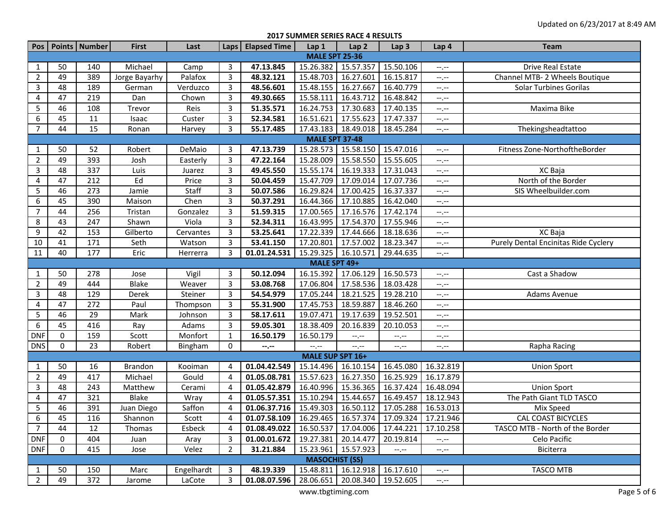**2017 SUMMER SERIES RACE 4 RESULTS**

|                                |                       | Pos   Points   Number | <b>First</b>          | Last            |                                  | Laps   Elapsed Time                                                                                    | Lap1                  | Lap <sub>2</sub>              | Lap <sub>3</sub>                                 | Lap 4                 | <b>Team</b>                                     |  |
|--------------------------------|-----------------------|-----------------------|-----------------------|-----------------|----------------------------------|--------------------------------------------------------------------------------------------------------|-----------------------|-------------------------------|--------------------------------------------------|-----------------------|-------------------------------------------------|--|
| <b>MALE SPT 25-36</b>          |                       |                       |                       |                 |                                  |                                                                                                        |                       |                               |                                                  |                       |                                                 |  |
| 1                              | 50                    | 140                   | Michael               | Camp            | 3                                | 47.13.845                                                                                              | 15.26.382             | 15.57.357                     | 15.50.106                                        | $-1, -1$              | Drive Real Estate                               |  |
| $\overline{2}$                 | 49                    | 389                   | Jorge Bayarhy         | Palafox         | 3                                | 48.32.121                                                                                              | 15.48.703             | 16.27.601                     | 16.15.817                                        | $-1, -1$              | Channel MTB- 2 Wheels Boutique                  |  |
| 3                              | 48                    | 189                   | German                | Verduzco        | 3                                | 48.56.601                                                                                              | 15.48.155             | 16.27.667                     | 16.40.779                                        | $-1, -1$              | <b>Solar Turbines Gorilas</b>                   |  |
| 4                              | 47                    | 219                   | Dan                   | Chown           | 3                                | 49.30.665                                                                                              | 15.58.111             | 16.43.712                     | 16.48.842                                        | $-1, -1$              |                                                 |  |
| 5                              | 46                    | 108                   | Trevor                | Reis            | 3                                | 51.35.571                                                                                              | 16.24.753             | 17.30.683                     | 17.40.135                                        | $-1, -1$              | Maxima Bike                                     |  |
| 6                              | 45                    | 11                    | Isaac                 | Custer          | 3                                | 52.34.581                                                                                              | 16.51.621             | 17.55.623                     | 17.47.337                                        | $-1, -1$              |                                                 |  |
| $\overline{7}$                 | 44                    | 15                    | Ronan                 | Harvey          | 3                                | 55.17.485                                                                                              | 17.43.183             | 18.49.018                     | 18.45.284                                        | $-1, -1$              | Thekingsheadtattoo                              |  |
|                                | <b>MALE SPT 37-48</b> |                       |                       |                 |                                  |                                                                                                        |                       |                               |                                                  |                       |                                                 |  |
| $\mathbf{1}$                   | 50                    | 52                    | Robert                | DeMaio          | 3                                | 47.13.739                                                                                              | 15.28.573             | 15.58.150                     | 15.47.016                                        | $-1, -1$              | Fitness Zone-NorthoftheBorder                   |  |
| $\overline{2}$                 | 49                    | 393                   | Josh                  | Easterly        | 3                                | 47.22.164                                                                                              | 15.28.009             | 15.58.550                     | 15.55.605                                        | $-1, -1$              |                                                 |  |
| $\mathbf{3}$                   | 48                    | 337                   | Luis                  | Juarez          | 3                                | 49.45.550                                                                                              | 15.55.174             | 16.19.333                     | 17.31.043                                        | $-1, -1$              | XC Baja                                         |  |
| 4                              | 47                    | 212                   | Ed                    | Price           | 3                                | 50.04.459                                                                                              | 15.47.709             | 17.09.014                     | 17.07.736                                        | $--, --$              | North of the Border                             |  |
| 5                              | 46                    | 273                   | Jamie                 | Staff           | 3                                | 50.07.586                                                                                              | 16.29.824             | 17.00.425                     | 16.37.337                                        | $-1, -1$              | SIS Wheelbuilder.com                            |  |
| 6                              | 45                    | 390                   | Maison                | Chen            | 3                                | 50.37.291                                                                                              | 16.44.366             | 17.10.885                     | 16.42.040                                        | $-1, -1$              |                                                 |  |
| $\overline{7}$                 | 44                    | 256                   | Tristan               | Gonzalez        | 3                                | 51.59.315                                                                                              | 17.00.565             | 17.16.576                     | 17.42.174                                        | $--, --$              |                                                 |  |
| 8                              | 43                    | 247                   | Shawn                 | Viola           | 3                                | 52.34.311                                                                                              | 16.43.995             | 17.54.370                     | 17.55.946                                        | $-1, -1$              |                                                 |  |
| $\boldsymbol{9}$               | 42                    | 153                   | Gilberto              | Cervantes       | 3                                | 53.25.641                                                                                              | 17.22.339             | 17.44.666                     | 18.18.636                                        | $-1, -1$              | XC Baja                                         |  |
| 10                             | 41                    | 171                   | Seth                  | Watson          | 3                                | 53.41.150                                                                                              | 17.20.801             | 17.57.002                     | 18.23.347                                        | $-1, -1$              | Purely Dental Encinitas Ride Cyclery            |  |
| 11                             | 40                    | 177                   | Eric                  | Herrerra        | 3                                | 01.01.24.531                                                                                           | 15.29.325 16.10.571   |                               | 29.44.635                                        | $-1, -1$              |                                                 |  |
|                                | MALE SPT 49+          |                       |                       |                 |                                  |                                                                                                        |                       |                               |                                                  |                       |                                                 |  |
| 1                              | 50                    | 278                   | Jose                  | Vigil           | 3                                | 50.12.094                                                                                              | 16.15.392             | 17.06.129                     | 16.50.573                                        | $-1, -1$              | Cast a Shadow                                   |  |
| $\overline{2}$                 | 49                    | 444                   | Blake                 | Weaver          | 3                                | 53.08.768                                                                                              | 17.06.804             | 17.58.536                     | 18.03.428                                        | $--, --$              |                                                 |  |
| 3                              | 48                    | 129                   | Derek                 | Steiner         | 3                                | 54.54.979                                                                                              | 17.05.244             | 18.21.525                     | 19.28.210                                        | $-1, -1$              | Adams Avenue                                    |  |
| 4                              | 47                    | 272                   | Paul                  | Thompson        | 3                                | 55.31.900                                                                                              | 17.45.753             | 18.59.887                     | 18.46.260                                        | $--, --$              |                                                 |  |
| 5                              | 46                    | 29                    | Mark                  | Johnson         | 3                                | 58.17.611                                                                                              | 19.07.471             | 19.17.639                     | 19.52.501                                        | $-1, -1$              |                                                 |  |
| 6                              | 45                    | 416                   | Ray                   | Adams           | 3                                | 59.05.301                                                                                              | 18.38.409             | 20.16.839                     | 20.10.053                                        | $--, --$              |                                                 |  |
| <b>DNF</b>                     | $\mathbf 0$           | 159                   | Scott                 | Monfort         | 1                                | 16.50.179                                                                                              | 16.50.179             | $-1, -1$                      | $-1, -1$                                         | $-1, -1$              |                                                 |  |
| <b>DNS</b>                     | $\mathbf 0$           | 23                    | Robert                | Bingham         | 0                                | --.--                                                                                                  | $-1, -1$              | $-1$                          | $-1 - 1 - 1 = 0$                                 | $--, --$              | Rapha Racing                                    |  |
|                                |                       |                       |                       |                 |                                  |                                                                                                        | MALE SUP SPT 16+      |                               |                                                  |                       |                                                 |  |
| $\mathbf{1}$                   | 50                    | 16                    | Brandon               | Kooiman         | 4                                | 01.04.42.549                                                                                           | 15.14.496 16.10.154   |                               | 16.45.080                                        | 16.32.819             | <b>Union Sport</b>                              |  |
| $\overline{2}$                 | 49<br>48              | 417                   | Michael               | Gould           | $\overline{4}$                   | 01.05.08.781                                                                                           | 15.57.623             | 16.27.350                     | 16.25.929                                        | 16.17.879             |                                                 |  |
| 3<br>4                         | 47                    | 243                   | Matthew               | Cerami          | $\overline{4}$<br>$\overline{4}$ | 01.05.42.879                                                                                           | 16.40.996             | 15.36.365                     | 16.37.424                                        | 16.48.094             | <b>Union Sport</b>                              |  |
|                                |                       | 321                   | Blake                 | Wray            |                                  | 01.05.57.351                                                                                           | 15.10.294             | 15.44.657                     | 16.49.457                                        | 18.12.943             | The Path Giant TLD TASCO                        |  |
| 5<br>$\,6\,$                   | 46<br>45              | 391<br>116            | Juan Diego<br>Shannon | Saffon<br>Scott | 4<br>$\overline{4}$              | $01.06.37.716$   15.49.303   16.50.112<br>01.07.58.109   16.29.465   16.57.374   17.09.324   17.21.946 |                       |                               | 17.05.288 16.53.013                              |                       | Mix Speed<br><b>CAL COAST BICYCLES</b>          |  |
| $\overline{7}$                 | 44                    |                       |                       |                 |                                  |                                                                                                        |                       |                               |                                                  |                       |                                                 |  |
|                                | 0                     | 12<br>404             | Thomas                | Esbeck          | 4<br>3                           | 01.08.49.022<br>01.00.01.672                                                                           | 19.27.381 20.14.477   |                               | 16.50.537   17.04.006   17.44.221  <br>20.19.814 | 17.10.258             | TASCO MTB - North of the Border<br>Celo Pacific |  |
| <b>DNF</b>                     | 0                     |                       | Juan                  | Aray            |                                  |                                                                                                        | 15.23.961   15.57.923 |                               |                                                  | $-1, -1$              |                                                 |  |
| DNF                            |                       | 415                   | Jose                  | Velez           | 2                                | 31.21.884                                                                                              | <b>MASOCHIST (SS)</b> |                               | $-1, -1$                                         | $-1, -1$              | Biciterra                                       |  |
|                                | 50                    | 150                   | Marc                  | Engelhardt      | 3                                | 48.19.339                                                                                              |                       | 15.48.811 16.12.918 16.17.610 |                                                  |                       | <b>TASCO MTB</b>                                |  |
| $\mathbf{1}$<br>$\overline{2}$ | 49                    | 372                   |                       |                 | 3                                | 01.08.07.596                                                                                           |                       |                               | 28.06.651 20.08.340 19.52.605                    | $-1, -1$              |                                                 |  |
|                                |                       |                       | Jarome                | LaCote          |                                  |                                                                                                        |                       |                               |                                                  | $-\text{-},\text{-}-$ |                                                 |  |